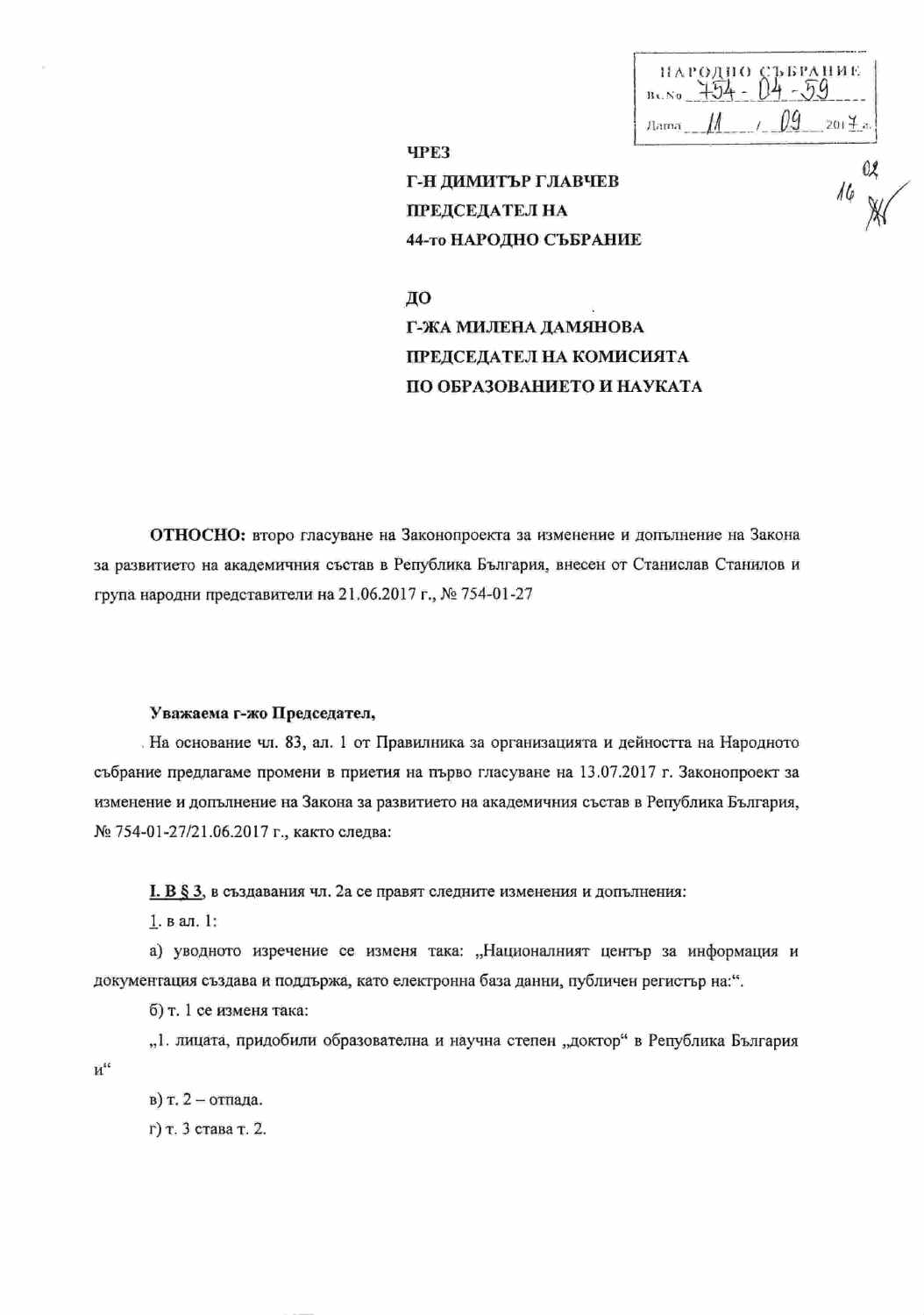**ЪБРАНИЕ**  $11x. 80$   $754 - 04 - 59$  $Aama$   $M$   $t$  $201 + a$ 

**4PE3** Г-Н ДИМИТЪР ГЛАВЧЕВ ПРЕДСЕДАТЕЛ НА 44-то НАРОДНО СЪБРАНИЕ

ДО Г-ЖА МИЛЕНА ДАМЯНОВА ПРЕДСЕДАТЕЛ НА КОМИСИЯТА ПО ОБРАЗОВАНИЕТО И НАУКАТА

ОТНОСНО: второ гласуване на Законопроекта за изменение и допълнение на Закона за развитието на академичния състав в Република България, внесен от Станислав Станилов и група народни представители на 21.06.2017 г., № 754-01-27

## Уважаема г-жо Председател,

. На основание чл. 83, ал. 1 от Правилника за организацията и дейността на Народното събрание предлагаме промени в приетия на първо гласуване на 13.07.2017 г. Законопроект за изменение и допълнение на Закона за развитието на академичния състав в Република България, № 754-01-27/21.06.2017 г., както следва:

I. В § 3, в създавания чл. 2а се правят следните изменения и допълнения:

 $1. **B**$  an. 1:

а) уводното изречение се изменя така: "Националният център за информация и документация създава и поддържа, като електронна база данни, публичен регистър на:".

б) т. 1 се изменя така:

"1. лицата, придобили образователна и научна степен "доктор" в Република България  $\mathbf{M}^{\mathfrak{cc}}$ 

в) т. 2 - отпада. г) т. 3 става т. 2.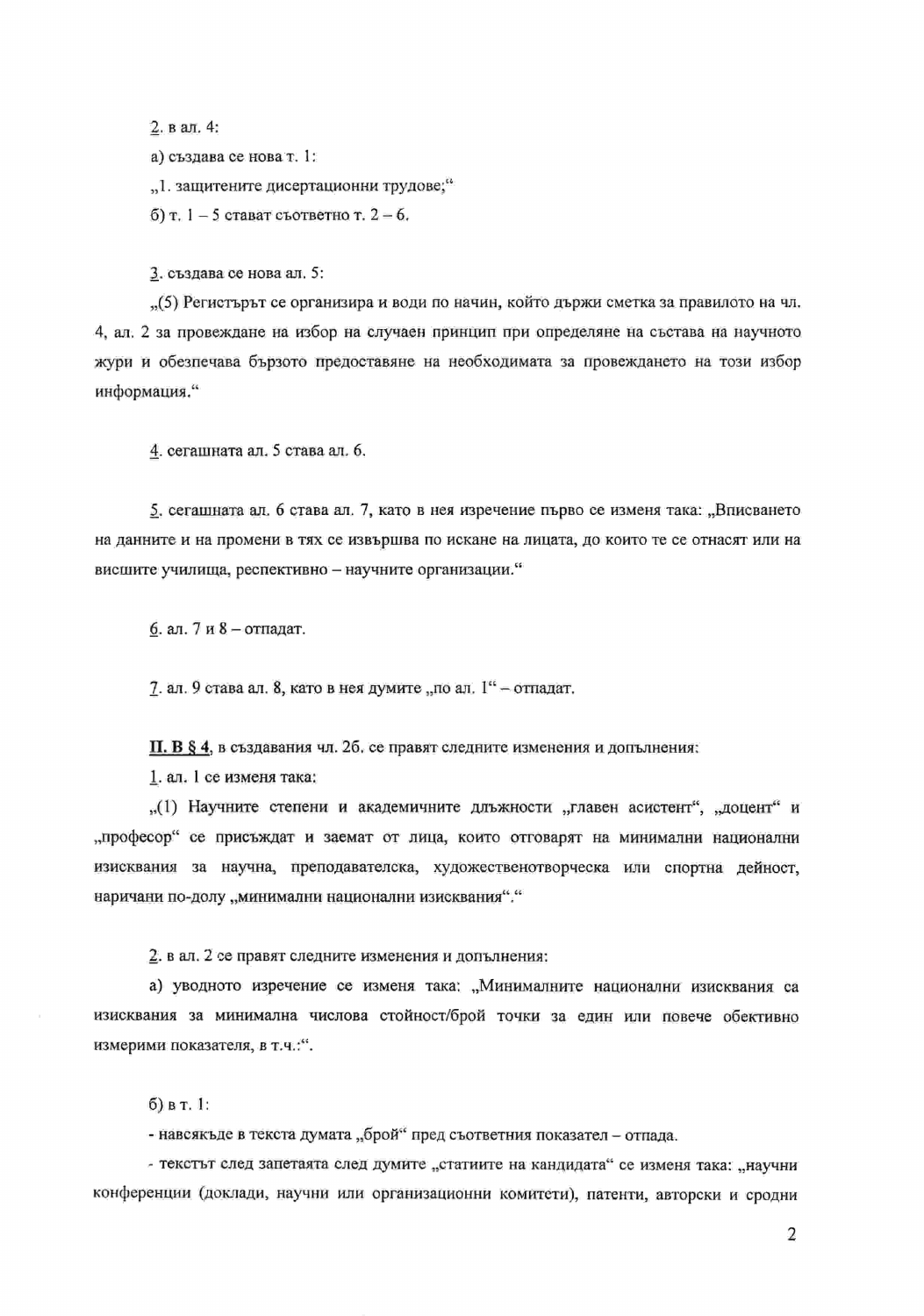2. в ал. 4:

а) създава се нова т. 1:

"1. защитените дисертационни трудове;"

 $(6)$  т. 1 - 5 стават съответно т. 2 - 6.

3. създава се нова ал. 5:

"(5) Регистърът се организира и води по начин, който държи сметка за правилото на чл. 4, ал. 2 за провеждане на избор на случаен принцип при определяне на състава на научното жури и обезпечава бързото предоставяне на необходимата за провеждането на този избор информация."

4. сегашната ал. 5 става ал. 6.

5, сегашната ал. 6 става ал. 7, като в нея изречение първо се изменя така: "Вписването на данните и на промени в тях се извършва по искане на лицата, до които те се отнасят или на висшите училища, респективно - научните организации."

6. ал. 7 и 8 - отпадат.

7. ал. 9 става ал. 8, като в нея думите "по ал.  $1^{\alpha}$  – отпадат.

П. В § 4, в създавания чл. 26, се правят следните изменения и допълнения:

1. ал. 1 се изменя така:

"(1) Научните степени и академичните длъжности "главен асистент", "доцент" и "професор" се присъждат и заемат от лица, които отговарят на минимални национални изисквания за научна, преподавателска, художественотворческа или спортна дейност, наричани по-долу "минимални национални изисквания"."

2. в ал. 2 се правят следните изменения и допълнения:

а) уводното изречение се изменя така: "Минималните национални изисквания са изисквания за минимална числова стойност/брой точки за един или повече обективно измерими показателя, в т.ч.:".

 $6)$  в т. 1:

- навеякъде в текста думата "брой" пред съответния показател - отпада.

- текстът след запетаята след думите "статиите на кандидата" се изменя така: "научни конференции (доклади, научни или организационни комитети), патенти, авторски и сродни

2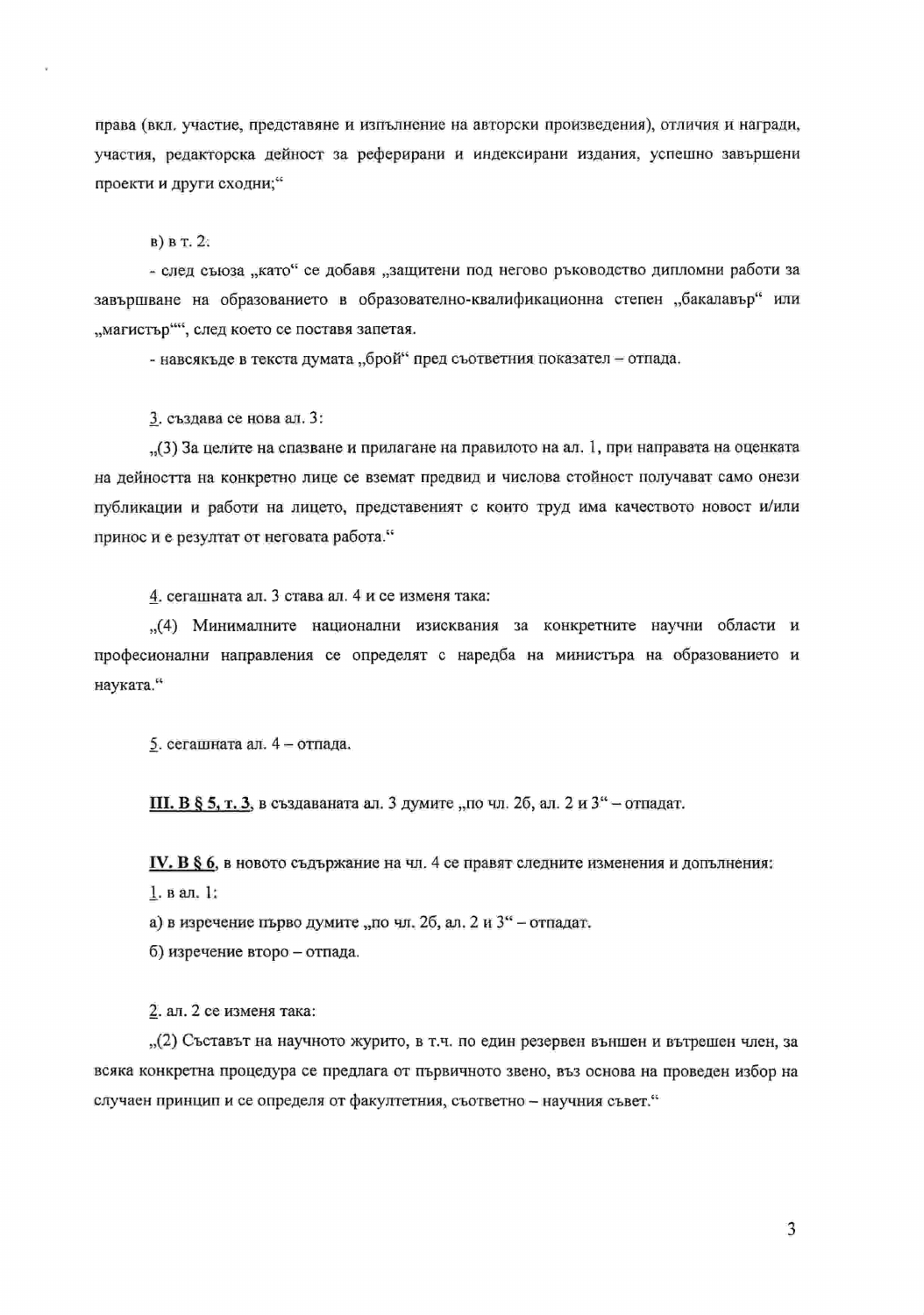права (вкл. участие, представяне и изпълнение на авторски произведения), отличия и награди, участия, редакторска дейност за реферирани и индексирани издания, успешно завършени проекти и други сходни;"

в) в т. 2.

- след съюза "като" се добавя "защитени под негово ръководство дипломни работи за завършване на образованието в образователно-квалификационна степен "бакалавър" или "магистър"", след което се поставя запетая.

- навсякъде в текста думата "брой" пред съответния показател - отпада.

3. създава се нова ал. 3:

"(3) За целите на спазване и прилагане на правилото на ал. 1, при направата на оценката на дейността на конкретно лице се вземат предвид и числова стойност получават само онези публикации и работи на лицето, представеният с които труд има качеството новост и/или принос и е резултат от неговата работа."

4. сегашната ал. 3 става ал. 4 и се изменя така:

"(4) Минималните национални изисквания за конкретните научни области и професионални направления се определят с наредба на министъра на образованието и науката."

5. сегашната ал. 4 - отпада.

**III. В § 5, т. 3, в създаваната ал. 3 думите "по чл. 26, ал. 2 и 3" - отпадат.** 

IV. В § 6, в новото съдържание на чл. 4 се правят следните изменения и допълнения: 1. в ал.  $\frac{1}{4}$ .

а) в изречение първо думите "по чл. 2б, ал. 2 и 3" - отпадат.

б) изречение второ - отпада.

2. ал. 2 се изменя така:

"(2) Съставът на научното журито, в т.ч. по един резервен външен и вътрешен член, за всяка конкретна процедура се предлага от първичното звено, въз основа на проведен избор на случаен принцип и се определя от факултетния, съответно - научния съвет."

3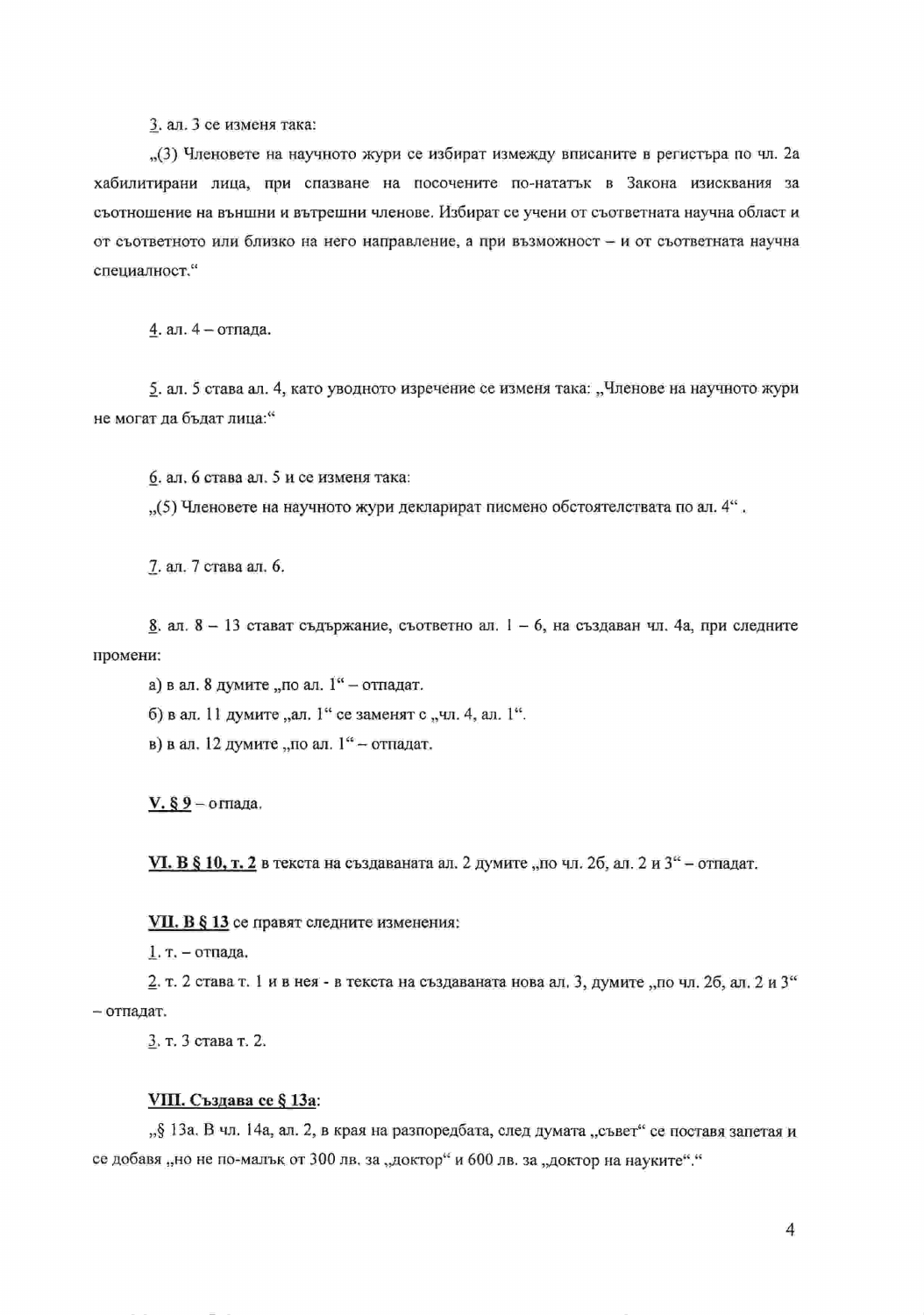3. ал. 3 се изменя така:

"(3) Членовете на научното жури се избират измежду вписаните в регистъра по чл. 2а хабилитирани лица, при спазване на посочените по-нататък в Закона изисквания за съотношение на външни и вътрешни членове. Избират се учени от съответната научна област и от съответното или близко на него направление, а при възможност - и от съответната научна специалност."

4. ал. 4 - отпада.

5. ал. 5 става ал. 4, като уводното изречение се изменя така: "Членове на научното жури не могат ла бълат лица:"

6. ал. 6 става ал. 5 и се изменя така:

"(5) Членовете на научното жури декларират писмено обстоятелствата по ал. 4".

7. ал. 7 става ал. 6.

 $8$ . ал. 8 - 13 стават съдържание, съответно ал. 1 - 6, на създаван чл. 4а, при следните промени:

а) в ал. 8 думите "по ал.  $1^{\alpha}$  – отпадат. б) в ал. 11 думите "ал. 1" се заменят с "чл. 4, ал. 1". в) в ал. 12 думите "по ал. 1" - отпадат.

 $V.$  § 9 – оглада.

VI. В § 10, т. 2 в текста на създаваната ал. 2 думите "по чл. 26, ал. 2 и 3" - отпадат.

VII. В § 13 се правят следните изменения:

1. т. - отпада.

2. т. 2 става т. 1 и в нея - в текста на създаваната нова ал. 3, думите "по чл. 26, ал. 2 и 3" - отпадат.

3. т. 3 става т. 2.

## VIII. Създава се § 13а:

"§ 13a. В чл. 14a, ал. 2, в края на разпоредбата, след думата "съвет" се поставя запетая и се добавя "но не по-малък от 300 лв. за "доктор" и 600 лв. за "доктор на науките"."

4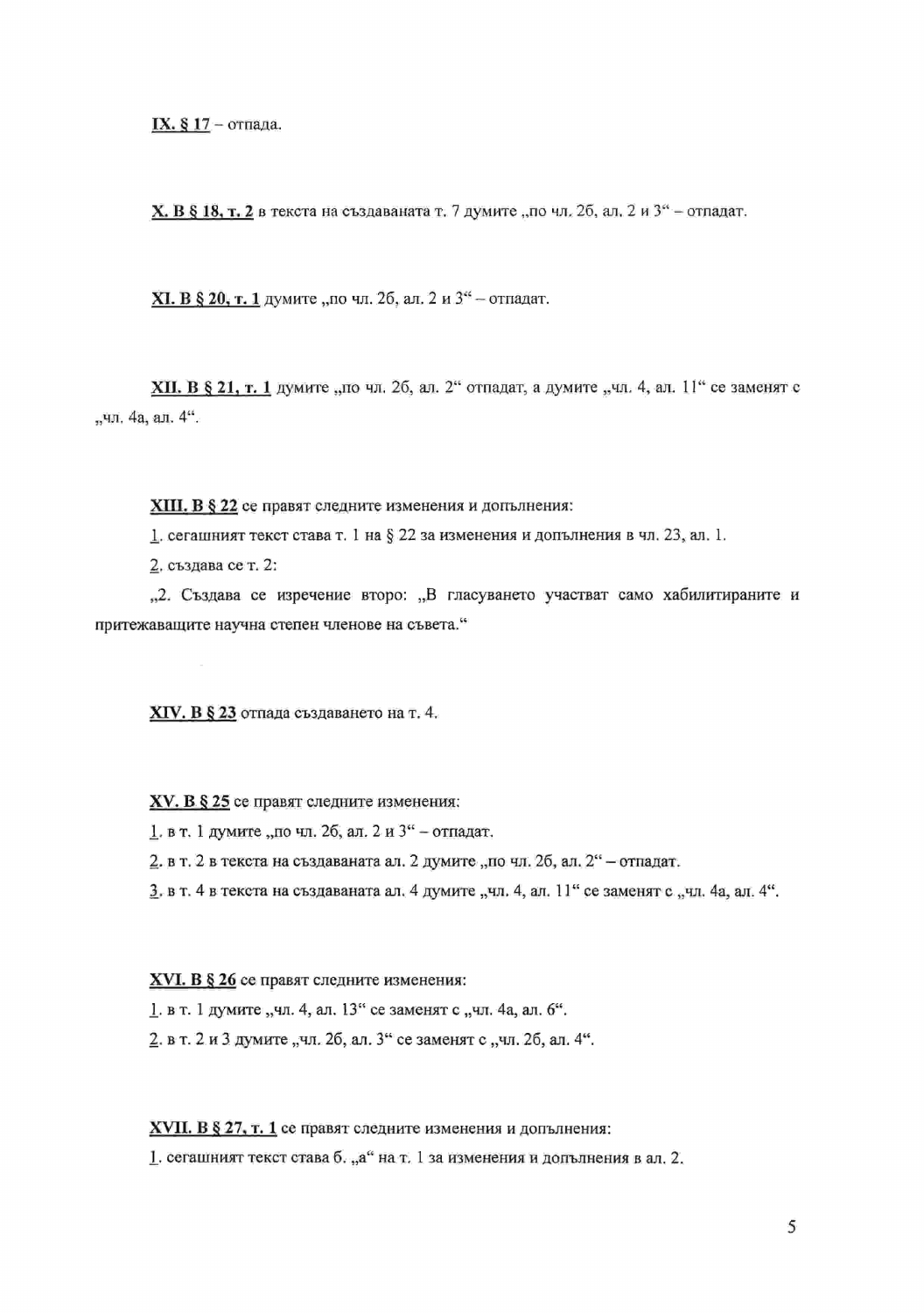IX. § 17 - отпада.

Х. В § 18, т. 2 в текста на създаваната т. 7 думите "по чл. 2б, ал. 2 и 3" - отпадат.

ХІ. В § 20, т. 1 думите "по чл. 26, ал. 2 и 3" - отпадат.

**XII. В § 21, г. 1** думите "по чл. 26, ал. 2" отпадат, а думите "чл. 4, ал. 11" се заменят с "чл. 4а, ал. 4".

XIII. В § 22 се правят следните изменения и допълнения:

1. сегашният текст става т. 1 на § 22 за изменения и допълнения в чл. 23, ал. 1.

2. създава се т. 2:

"2. Създава се изречение второ: "В гласуването участват само хабилитираните и притежаващите научна степен членове на съвета."

XIV. В § 23 отпада създаването на т. 4.

XV. В § 25 се правят следните изменения:

1. в т. 1 думите "по чл. 26, ал. 2 и 3" - отпадат.

2. в т. 2 в текста на създаваната ал. 2 думите "по чл. 2б. ал. 2" - отпадат.

3. в т. 4 в текста на създаваната ал. 4 думите "чл. 4, ал. 11" се заменят с "чл. 4а, ал. 4".

XVI. В § 26 се правят следните изменения:

1. в т. 1 думите "чл. 4, ал. 13" се заменят с "чл. 4а, ал. 6".

2. в т. 2 и 3 думите "чл. 2б, ал. 3" се заменят с "чл. 2б, ал. 4".

XVII. В § 27, т. 1 се правят следните изменения и допълнения:

1. сегашният текст става б. "а" на т. 1 за изменения и допълнения в ал. 2.